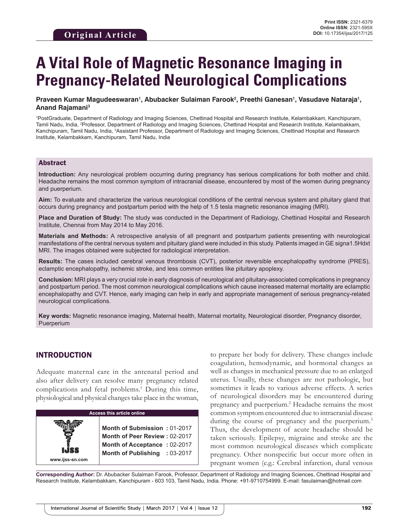# **A Vital Role of Magnetic Resonance Imaging in Pregnancy-Related Neurological Complications**

## Praveen Kumar Magudeeswaran', Abubacker Sulaiman Farook<sup>2</sup>, Preethi Ganesan', Vasudave Nataraja', **Anand Rajamani3**

1 PostGraduate, Department of Radiology and Imaging Sciences, Chettinad Hospital and Research Institute, Kelambakkam, Kanchipuram, Tamil Nadu, India, 2 Professor, Department of Radiology and Imaging Sciences, Chettinad Hospital and Research Institute, Kelambakkam, Kanchipuram, Tamil Nadu, India, <sup>3</sup>Assistant Professor, Department of Radiology and Imaging Sciences, Chettinad Hospital and Research Institute, Kelambakkam, Kanchipuram, Tamil Nadu, India

## Abstract

**Introduction:** Any neurological problem occurring during pregnancy has serious complications for both mother and child. Headache remains the most common symptom of intracranial disease, encountered by most of the women during pregnancy and puerperium.

**Aim:** To evaluate and characterize the various neurological conditions of the central nervous system and pituitary gland that occurs during pregnancy and postpartum period with the help of 1.5 tesla magnetic resonance imaging (MRI).

**Place and Duration of Study:** The study was conducted in the Department of Radiology, Chettinad Hospital and Research Institute, Chennai from May 2014 to May 2016.

**Materials and Methods:** A retrospective analysis of all pregnant and postpartum patients presenting with neurological manifestations of the central nervous system and pituitary gland were included in this study. Patients imaged in GE signa1.5Hdxt MRI. The images obtained were subjected for radiological interpretation.

**Results:** The cases included cerebral venous thrombosis (CVT), posterior reversible encephalopathy syndrome (PRES), eclamptic encephalopathy, ischemic stroke, and less common entities like pituitary apoplexy.

**Conclusion:** MRI plays a very crucial role in early diagnosis of neurological and pituitary-associated complications in pregnancy and postpartum period. The most common neurological complications which cause increased maternal mortality are eclamptic encephalopathy and CVT. Hence, early imaging can help in early and appropriate management of serious pregnancy-related neurological complications.

**Key words:** Magnetic resonance imaging, Maternal health, Maternal mortality, Neurological disorder, Pregnancy disorder, Puerperium

## INTRODUCTION

**www.ijss-sn.com**

Adequate maternal care in the antenatal period and also after delivery can resolve many pregnancy related complications and fetal problems.<sup>1</sup> During this time, physiological and physical changes take place in the woman,



**Month of Submission :** 01-2017 **Month of Peer Review :** 02-2017 **Month of Acceptance :** 02-2017 **Month of Publishing :** 03-2017

to prepare her body for delivery. These changes include coagulation, hemodynamic, and hormonal changes as well as changes in mechanical pressure due to an enlarged uterus. Usually, these changes are not pathologic, but sometimes it leads to various adverse effects. A series of neurological disorders may be encountered during pregnancy and puerperium.<sup>2</sup> Headache remains the most common symptom encountered due to intracranial disease during the course of pregnancy and the puerperium.<sup>3</sup> Thus, the development of acute headache should be taken seriously. Epilepsy, migraine and stroke are the most common neurological diseases which complicate pregnancy. Other nonspecific but occur more often in pregnant women (e.g.: Cerebral infarction, dural venous

**Corresponding Author:** Dr. Abubacker Sulaiman Farook, Professor, Department of Radiology and Imaging Sciences, Chettinad Hospital and Research Institute, Kelambakkam, Kanchipuram - 603 103, Tamil Nadu, India. Phone: +91-9710754999. E-mail: fasulaiman@hotmail.com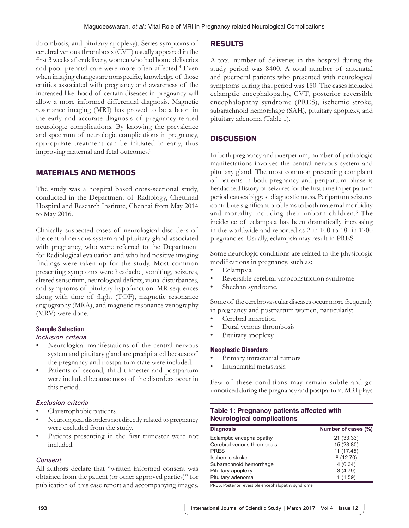thrombosis, and pituitary apoplexy). Series symptoms of cerebral venous thrombosis (CVT) usually appeared in the first 3 weeks after delivery, women who had home deliveries and poor prenatal care were more often affected.<sup>4</sup> Even when imaging changes are nonspecific, knowledge of those entities associated with pregnancy and awareness of the increased likelihood of certain diseases in pregnancy will allow a more informed differential diagnosis. Magnetic resonance imaging (MRI) has proved to be a boon in the early and accurate diagnosis of pregnancy-related neurologic complications. By knowing the prevalence and spectrum of neurologic complications in pregnancy, appropriate treatment can be initiated in early, thus improving maternal and fetal outcomes.<sup>5</sup>

# MATERIALS AND METHODS

The study was a hospital based cross-sectional study, conducted in the Department of Radiology, Chettinad Hospital and Research Institute, Chennai from May 2014 to May 2016.

Clinically suspected cases of neurological disorders of the central nervous system and pituitary gland associated with pregnancy, who were referred to the Department for Radiological evaluation and who had positive imaging findings were taken up for the study. Most common presenting symptoms were headache, vomiting, seizures, altered sensorium, neurological deficits, visual disturbances, and symptoms of pituitary hypofunction. MR sequences along with time of flight (TOF), magnetic resonance angiography (MRA), and magnetic resonance venography (MRV) were done.

## **Sample Selection**

### *Inclusion criteria*

- Neurological manifestations of the central nervous system and pituitary gland are precipitated because of the pregnancy and postpartum state were included.
- Patients of second, third trimester and postpartum were included because most of the disorders occur in this period.

## *Exclusion criteria*

- Claustrophobic patients.
- Neurological disorders not directly related to pregnancy were excluded from the study.
- Patients presenting in the first trimester were not included.

## *Consent*

All authors declare that "written informed consent was obtained from the patient (or other approved parties)" for publication of this case report and accompanying images.

## RESULTS

A total number of deliveries in the hospital during the study period was 8400. A total number of antenatal and puerperal patients who presented with neurological symptoms during that period was 150. The cases included eclamptic encephalopathy, CVT, posterior reversible encephalopathy syndrome (PRES), ischemic stroke, subarachnoid hemorrhage (SAH), pituitary apoplexy, and pituitary adenoma (Table 1).

# **DISCUSSION**

In both pregnancy and puerperium, number of pathologic manifestations involves the central nervous system and pituitary gland. The most common presenting complaint of patients in both pregnancy and peripartum phase is headache. History of seizures for the first time in peripartum period causes biggest diagnostic muss. Peripartum seizures contribute significant problems to both maternal morbidity and mortality including their unborn children.<sup>6</sup> The incidence of eclampsia has been dramatically increasing in the worldwide and reported as 2 in 100 to 18 in 1700 pregnancies. Usually, eclampsia may result in PRES.

Some neurologic conditions are related to the physiologic modifications in pregnancy, such as:

- Eclampsia
- Reversible cerebral vasoconstriction syndrome
- Sheehan syndrome.

Some of the cerebrovascular diseases occur more frequently in pregnancy and postpartum women, particularly:

- Cerebral infarction
- Dural venous thrombosis
- Pituitary apoplexy.

### **Neoplastic Disorders**

- Primary intracranial tumors
- Intracranial metastasis.

Few of these conditions may remain subtle and go unnoticed during the pregnancy and postpartum. MRI plays

# **Table 1: Pregnancy patients affected with Neurological complications**

| <b>Diagnosis</b>           | Number of cases (%) |
|----------------------------|---------------------|
| Eclamptic encephalopathy   | 21 (33.33)          |
| Cerebral venous thrombosis | 15 (23.80)          |
| <b>PRFS</b>                | 11 (17.45)          |
| Ischemic stroke            | 8(12.70)            |
| Subarachnoid hemorrhage    | 4(6.34)             |
| Pituitary apoplexy         | 3(4.79)             |
| Pituitary adenoma          | 1(1.59)             |

PRES: Posterior reversible encephalopathy syndrome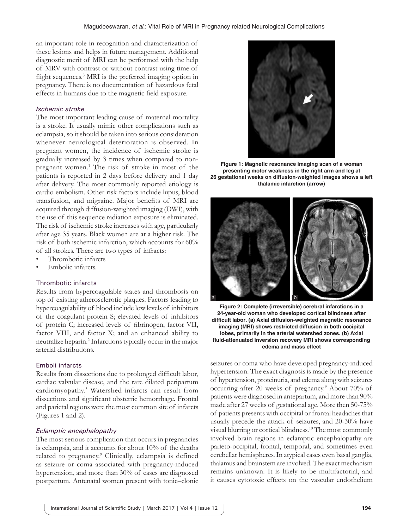an important role in recognition and characterization of these lesions and helps in future management. Additional diagnostic merit of MRI can be performed with the help of MRV with contrast or without contrast using time of flight sequences.<sup>8</sup> MRI is the preferred imaging option in pregnancy. There is no documentation of hazardous fetal effects in humans due to the magnetic field exposure.

## *Ischemic stroke*

The most important leading cause of maternal mortality is a stroke. It usually mimic other complications such as eclampsia, so it should be taken into serious consideration whenever neurological deterioration is observed. In pregnant women, the incidence of ischemic stroke is gradually increased by 3 times when compared to nonpregnant women.<sup>1</sup> The risk of stroke in most of the patients is reported in 2 days before delivery and 1 day after delivery. The most commonly reported etiology is cardio embolism. Other risk factors include lupus, blood transfusion, and migraine. Major benefits of MRI are acquired through diffusion-weighted imaging (DWI), with the use of this sequence radiation exposure is eliminated. The risk of ischemic stroke increases with age, particularly after age 35 years. Black women are at a higher risk. The risk of both ischemic infarction, which accounts for 60% of all strokes. There are two types of infracts:

- Thrombotic infarcts
- Embolic infarcts.

## Thrombotic infarcts

Results from hypercoagulable states and thrombosis on top of existing atherosclerotic plaques. Factors leading to hypercoagulability of blood include low levels of inhibitors of the coagulant protein S; elevated levels of inhibitors of protein C; increased levels of fibrinogen, factor VII, factor VIII, and factor X; and an enhanced ability to neutralize heparin.2 Infarctions typically occur in the major arterial distributions.

### Emboli infarcts

Results from dissections due to prolonged difficult labor, cardiac valvular disease, and the rare dilated peripartum cardiomyopathy.5 Watershed infarcts can result from dissections and significant obstetric hemorrhage. Frontal and parietal regions were the most common site of infarcts (Figures 1 and 2).

### *Eclamptic encephalopathy*

The most serious complication that occurs in pregnancies is eclampsia, and it accounts for about 10% of the deaths related to pregnancy.<sup>9</sup> Clinically, eclampsia is defined as seizure or coma associated with pregnancy-induced hypertension, and more than 30% of cases are diagnosed postpartum. Antenatal women present with tonic–clonic



**Figure 1: Magnetic resonance imaging scan of a woman presenting motor weakness in the right arm and leg at 26 gestational weeks on diffusion-weighted images shows a left thalamic infarction (arrow)**



**Figure 2: Complete (irreversible) cerebral infarctions in a 24-year-old woman who developed cortical blindness after difficult labor. (a) Axial diffusion-weighted magnetic resonance imaging (MRI) shows restricted diffusion in both occipital lobes, primarily in the arterial watershed zones. (b) Axial fluid-attenuated inversion recovery MRI shows corresponding edema and mass effect**

seizures or coma who have developed pregnancy-induced hypertension. The exact diagnosis is made by the presence of hypertension, proteinuria, and edema along with seizures occurring after 20 weeks of pregnancy.<sup>9</sup> About 70% of patients were diagnosed in antepartum, and more than 90% made after 27 weeks of gestational age. More then 50-75% of patients presents with occipital or frontal headaches that usually precede the attack of seizures, and 20-30% have visual blurring or cortical blindness.10 The most commonly involved brain regions in eclamptic encephalopathy are parieto-occipital, frontal, temporal, and sometimes even cerebellar hemispheres. In atypical cases even basal ganglia, thalamus and brainstem are involved. The exact mechanism remains unknown. It is likely to be multifactorial, and it causes cytotoxic effects on the vascular endothelium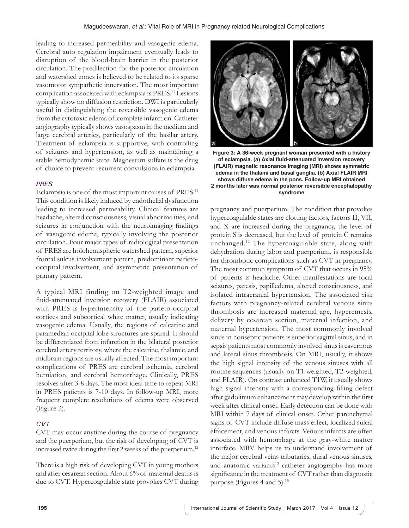leading to increased permeability and vasogenic edema. Cerebral auto regulation impairment eventually leads to disruption of the blood-brain barrier in the posterior circulation. The predilection for the posterior circulation and watershed zones is believed to be related to its sparse vasomotor sympathetic innervation. The most important complication associated with eclampsia is PRES.11 Lesions typically show no diffusion restriction. DWI is particularly useful in distinguishing the reversible vasogenic edema from the cytotoxic edema of complete infarction. Catheter angiography typically shows vasospasm in the medium and large cerebral arteries, particularly of the basilar artery. Treatment of eclampsia is supportive, with controlling of seizures and hypertension, as well as maintaining a stable hemodynamic state. Magnesium sulfate is the drug of choice to prevent recurrent convulsions in eclampsia.

# *PRES*

Eclampsia is one of the most important causes of PRES.<sup>11</sup> This condition is likely induced by endothelial dysfunction leading to increased permeability. Clinical features are headache, altered consciousness, visual abnormalities, and seizures in conjunction with the neuroimaging findings of vasogenic edema, typically involving the posterior circulation. Four major types of radiological presentation of PRES are holohemispheric watershed pattern, superior frontal sulcus involvement pattern, predominant parietooccipital involvement, and asymmetric presentation of primary pattern.<sup>11</sup>

A typical MRI finding on T2-weighted image and fluid-attenuated inversion recovery (FLAIR) associated with PRES is hyperintensity of the parieto-occipital cortices and subcortical white matter, usually indicating vasogenic edema. Usually, the regions of calcarine and paramedian occipital lobe structures are spared. It should be differentiated from infarction in the bilateral posterior cerebral artery territory, where the calcarine, thalamic, and midbrain regions are usually affected. The most important complications of PRES are cerebral ischemia, cerebral herniation, and cerebral hemorrhage. Clinically, PRES resolves after 3-8 days. The most ideal time to repeat MRI in PRES patients is 7-10 days. In follow-up MRI, more frequent complete resolutions of edema were observed (Figure 3).

# *CVT*

CVT may occur anytime during the course of pregnancy and the puerperium, but the risk of developing of CVT is increased twice during the first 2 weeks of the puerperium.<sup>12</sup>

There is a high risk of developing CVT in young mothers and after cesarean section. About 6% of maternal deaths is due to CVT. Hypercoagulable state provokes CVT during



**Figure 3: A 36-week pregnant woman presented with a history of eclampsia. (a) Axial fluid-attenuated inversion recovery (FLAIR) magnetic resonance imaging (MRI) shows symmetric edema in the thalami and basal ganglia. (b) Axial FLAIR MRI shows diffuse edema in the pons. Follow-up MRI obtained 2 months later was normal posterior reversible encephalopathy syndrome**

pregnancy and puerperium. The condition that provokes hypercoagulable states are clotting factors, factors II, VII, and X are increased during the pregnancy, the level of protein S is decreased, but the level of protein C remains unchanged.12 The hypercoagulable state, along with dehydration during labor and puerperium, is responsible for thrombotic complications such as CVT in pregnancy. The most common symptom of CVT that occurs in 95% of patients is headache. Other manifestations are focal seizures, paresis, papilledema, altered consciousness, and isolated intracranial hypertension. The associated risk factors with pregnancy-related cerebral venous sinus thrombosis are increased maternal age, hyperemesis, delivery by cesarean section, maternal infection, and maternal hypertension. The most commonly involved sinus in nonseptic patients is superior sagittal sinus, and in sepsis patients most commonly involved sinus is cavernous and lateral sinus thrombosis. On MRI, usually, it shows the high signal intensity of the venous sinuses with all routine sequences (usually on T1-weighted, T2-weighted, and FLAIR). On contrast enhanced T1W, it usually shows high signal intensity with a corresponding filling defect after gadolinium enhancement may develop within the first week after clinical onset. Early detection can be done with MRI within 7 days of clinical onset. Other parenchymal signs of CVT include diffuse mass effect, localized sulcal effacement, and venous infarcts. Venous infarcts are often associated with hemorrhage at the gray-white matter interface. MRV helps us to understand involvement of the major cerebral veins tributaries, dural venous sinuses, and anatomic variants<sup>12</sup> catheter angiography has more significance in the treatment of CVT rather than diagnostic purpose (Figures 4 and 5).15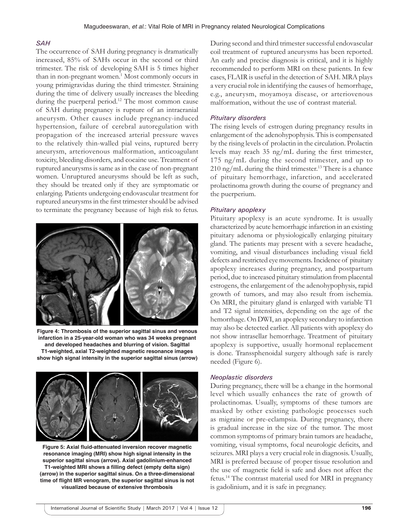## *SAH*

The occurrence of SAH during pregnancy is dramatically increased, 85% of SAHs occur in the second or third trimester. The risk of developing SAH is 5 times higher than in non-pregnant women.<sup>1</sup> Most commonly occurs in young primigravidas during the third trimester. Straining during the time of delivery usually increases the bleeding during the puerperal period.<sup>12</sup> The most common cause of SAH during pregnancy is rupture of an intracranial aneurysm. Other causes include pregnancy-induced hypertension, failure of cerebral autoregulation with propagation of the increased arterial pressure waves to the relatively thin-walled pial veins, ruptured berry aneurysm, arteriovenous malformation, anticoagulant toxicity, bleeding disorders, and cocaine use. Treatment of ruptured aneurysms is same as in the case of non-pregnant women. Unruptured aneurysms should be left as such, they should be treated only if they are symptomatic or enlarging. Patients undergoing endovascular treatment for ruptured aneurysms in the first trimester should be advised to terminate the pregnancy because of high risk to fetus.



**Figure 4: Thrombosis of the superior sagittal sinus and venous infarction in a 25-year-old woman who was 34 weeks pregnant and developed headaches and blurring of vision. Sagittal T1-weighted, axial T2-weighted magnetic resonance images show high signal intensity in the superior sagittal sinus (arrow)**



**Figure 5: Axial fluid-attenuated inversion recover magnetic resonance imaging (MRI) show high signal intensity in the superior sagittal sinus (arrow). Axial gadolinium-enhanced T1-weighted MRI shows a filling defect (empty delta sign) (arrow) in the superior sagittal sinus. On a three-dimensional time of flight MR venogram, the superior sagittal sinus is not visualized because of extensive thrombosis**

During second and third trimester successful endovascular coil treatment of ruptured aneurysms has been reported. An early and precise diagnosis is critical, and it is highly recommended to perform MRI on these patients. In few cases, FLAIR is useful in the detection of SAH. MRA plays a very crucial role in identifying the causes of hemorrhage, e.g., aneurysm, moyamoya disease, or arteriovenous malformation, without the use of contrast material.

## *Pituitary disorders*

The rising levels of estrogen during pregnancy results in enlargement of the adenohypophysis. This is compensated by the rising levels of prolactin in the circulation. Prolactin levels may reach 35 ng/mL during the first trimester, 175 ng/mL during the second trimester, and up to  $210$  ng/mL during the third trimester.<sup>13</sup> There is a chance of pituitary hemorrhage, infarction, and accelerated prolactinoma growth during the course of pregnancy and the puerperium.

## *Pituitary apoplexy*

Pituitary apoplexy is an acute syndrome. It is usually characterized by acute hemorrhagic infarction in an existing pituitary adenoma or physiologically enlarging pituitary gland. The patients may present with a severe headache, vomiting, and visual disturbances including visual field defects and restricted eye movements. Incidence of pituitary apoplexy increases during pregnancy, and postpartum period, due to increased pituitary stimulation from placental estrogens, the enlargement of the adenohypophysis, rapid growth of tumors, and may also result from ischemia. On MRI, the pituitary gland is enlarged with variable T1 and T2 signal intensities, depending on the age of the hemorrhage. On DWI, an apoplexy secondary to infarction may also be detected earlier. All patients with apoplexy do not show intrasellar hemorrhage. Treatment of pituitary apoplexy is supportive, usually hormonal replacement is done. Transsphenoidal surgery although safe is rarely needed (Figure 6).

## *Neoplastic disorders*

During pregnancy, there will be a change in the hormonal level which usually enhances the rate of growth of prolactinomas. Usually, symptoms of these tumors are masked by other existing pathologic processes such as migraine or pre-eclampsia. During pregnancy, there is gradual increase in the size of the tumor. The most common symptoms of primary brain tumors are headache, vomiting, visual symptoms, focal neurologic deficits, and seizures. MRI plays a very crucial role in diagnosis. Usually, MRI is preferred because of proper tissue resolution and the use of magnetic field is safe and does not affect the fetus.14 The contrast material used for MRI in pregnancy is gadolinium, and it is safe in pregnancy.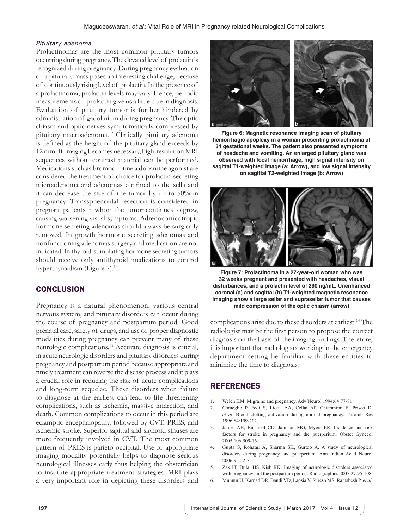## *Pituitary adenoma*

Prolactinomas are the most common pituitary tumors occurring during pregnancy. The elevated level of prolactin is recognized during pregnancy. During pregnancy evaluation of a pituitary mass poses an interesting challenge, because of continuously rising level of prolactin. In the presence of a prolactinoma, prolactin levels may vary. Hence, periodic measurements of prolactin give us a little clue in diagnosis. Evaluation of pituitary tumor is further hindered by administration of gadolinium during pregnancy. The optic chiasm and optic nerves symptomatically compressed by pituitary macroadenoma.12 Clinically pituitary adenoma is defined as the height of the pituitary gland exceeds by 12 mm. If imaging becomes necessary, high-resolution MRI sequences without contrast material can be performed. Medications such as bromocriptine a dopamine agonist are considered the treatment of choice for prolactin-secreting microadenoma and adenomas confined to the sella and it can decrease the size of the tumor by up to 50% in pregnancy. Transsphenoidal resection is considered in pregnant patients in whom the tumor continues to grow, causing worsening visual symptoms. Adrenocorticotropic hormone secreting adenomas should always be surgically removed. In growth hormone secreting adenomas and nonfunctioning adenomas surgery and medication are not indicated. In thyroid-stimulating hormone secreting tumors should receive only antithyroid medications to control hyperthyroidism (Figure 7).<sup>13</sup>

# **CONCLUSION**

Pregnancy is a natural phenomenon, various central nervous system, and pituitary disorders can occur during the course of pregnancy and postpartum period. Good prenatal care, safety of drugs, and use of proper diagnostic modalities during pregnancy can prevent many of these neurologic complications.13 Accurate diagnosis is crucial, in acute neurologic disorders and pituitary disorders during pregnancy and postpartum period because appropriate and timely treatment can reverse the disease process and it plays a crucial role in reducing the risk of acute complications and long-term sequelae. These disorders when failure to diagnose at the earliest can lead to life-threatening complications, such as ischemia, massive infarction, and death. Common complications to occur in this period are eclamptic encephalopathy, followed by CVT, PRES, and ischemic stroke. Superior sagittal and sigmoid sinuses are more frequently involved in CVT. The most common pattern of PRES is parieto-occipital. Use of appropriate imaging modality potentially helps to diagnose serious neurological illnesses early thus helping the obstetrician to institute appropriate treatment strategies. MRI plays a very important role in depicting these disorders and



**Figure 6: Magnetic resonance imaging scan of pituitary hemorrhagic apoplexy in a woman presenting prolactinoma at 34 gestational weeks. The patient also presented symptoms of headache and vomiting. An enlarged pituitary gland was observed with focal hemorrhage, high signal intensity on sagittal T1-weighted image (a: Arrow), and low signal intensity on sagittal T2-weighted image (b: Arrow)**



**Figure 7: Prolactinoma in a 27-year-old woman who was 32 weeks pregnant and presented with headaches, visual disturbances, and a prolactin level of 290 ng/mL. Unenhanced coronal (a) and sagittal (b) T1-weighted magnetic resonance imaging show a large sellar and suprasellar tumor that causes mild compression of the optic chiasm (arrow)**

complications arise due to these disorders at earliest.<sup>14</sup> The radiologist may be the first person to propose the correct diagnosis on the basis of the imaging findings. Therefore, it is important that radiologists working in the emergency department setting be familiar with these entities to minimize the time to diagnosis.

# REFERENCES

- 1. Welch KM. Migraine and pregnancy. Adv Neurol 1994;64:77-81.
- 2. Comeglio P, Fedi S, Liotta AA, Cellai AP, Chiarantini E, Prisco D, *et al*. Blood clotting activation during normal pregnancy. Thromb Res 1996;84:199-202.
- 3. James AH, Bushnell CD, Jamison MG, Myers ER. Incidence and risk factors for stroke in pregnancy and the puerperium. Obstet Gynecol 2005;106:509-16.
- 4. Gupta S, Rohatgi A, Sharma SK, Gurtoo A. A study of neurological disorders during pregnancy and puerperium. Ann Indian Acad Neurol 2006;9:152-7.
- 5. Zak IT, Dulai HS, Kish KK. Imaging of neurologic disorders associated with pregnancy and the postpartum period. Radiographics 2007;27:95-108.
- 6. Munnur U, Karnad DR, Bandi VD, Lapsia V, Suresh MS, Ramshesh P, *et al*.